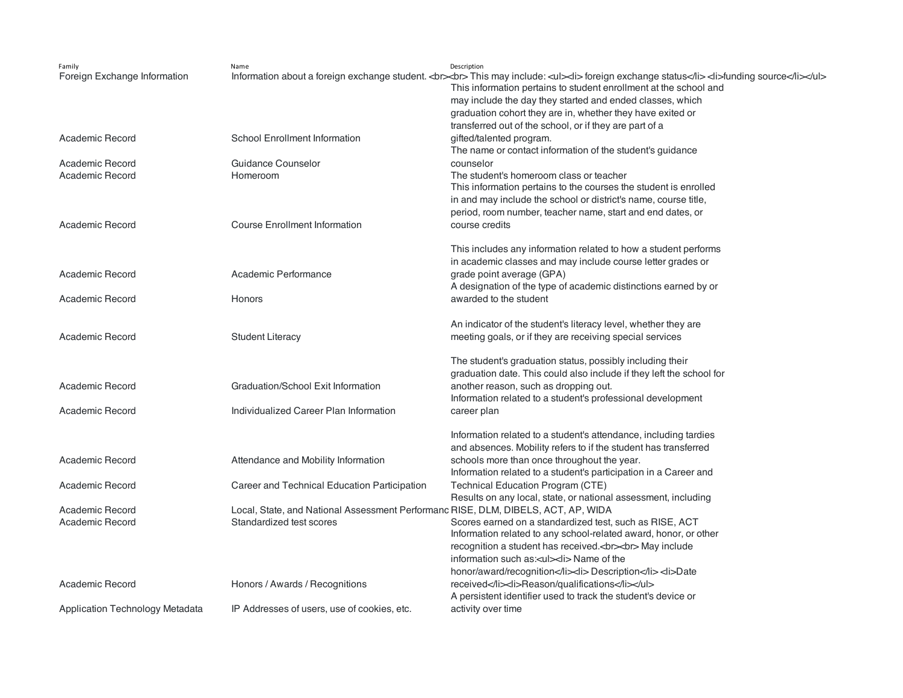| Family<br>Foreign Exchange Information | Name                                                                              | Description<br>Information about a foreign exchange student.<br>> $\sim$ br> This may include: <ul> lis foreign exchange status ange status ange status ible foreign about a foreign exchange student. <br/> status information about a foreign<br/>This information pertains to student enrollment at the school and<br/>may include the day they started and ended classes, which<br/>graduation cohort they are in, whether they have exited or</ul> |
|----------------------------------------|-----------------------------------------------------------------------------------|---------------------------------------------------------------------------------------------------------------------------------------------------------------------------------------------------------------------------------------------------------------------------------------------------------------------------------------------------------------------------------------------------------------------------------------------------------|
|                                        |                                                                                   | transferred out of the school, or if they are part of a                                                                                                                                                                                                                                                                                                                                                                                                 |
| Academic Record                        | <b>School Enrollment Information</b>                                              | gifted/talented program.                                                                                                                                                                                                                                                                                                                                                                                                                                |
|                                        |                                                                                   | The name or contact information of the student's guidance                                                                                                                                                                                                                                                                                                                                                                                               |
| Academic Record                        | Guidance Counselor                                                                | counselor                                                                                                                                                                                                                                                                                                                                                                                                                                               |
| Academic Record                        | Homeroom                                                                          | The student's homeroom class or teacher                                                                                                                                                                                                                                                                                                                                                                                                                 |
|                                        |                                                                                   | This information pertains to the courses the student is enrolled                                                                                                                                                                                                                                                                                                                                                                                        |
|                                        |                                                                                   | in and may include the school or district's name, course title,                                                                                                                                                                                                                                                                                                                                                                                         |
| Academic Record                        | <b>Course Enrollment Information</b>                                              | period, room number, teacher name, start and end dates, or<br>course credits                                                                                                                                                                                                                                                                                                                                                                            |
|                                        |                                                                                   |                                                                                                                                                                                                                                                                                                                                                                                                                                                         |
|                                        |                                                                                   | This includes any information related to how a student performs                                                                                                                                                                                                                                                                                                                                                                                         |
|                                        |                                                                                   | in academic classes and may include course letter grades or                                                                                                                                                                                                                                                                                                                                                                                             |
| Academic Record                        | Academic Performance                                                              | grade point average (GPA)                                                                                                                                                                                                                                                                                                                                                                                                                               |
|                                        |                                                                                   | A designation of the type of academic distinctions earned by or                                                                                                                                                                                                                                                                                                                                                                                         |
| Academic Record                        | Honors                                                                            | awarded to the student                                                                                                                                                                                                                                                                                                                                                                                                                                  |
|                                        |                                                                                   |                                                                                                                                                                                                                                                                                                                                                                                                                                                         |
|                                        |                                                                                   | An indicator of the student's literacy level, whether they are                                                                                                                                                                                                                                                                                                                                                                                          |
| Academic Record                        | <b>Student Literacy</b>                                                           | meeting goals, or if they are receiving special services                                                                                                                                                                                                                                                                                                                                                                                                |
|                                        |                                                                                   | The student's graduation status, possibly including their                                                                                                                                                                                                                                                                                                                                                                                               |
|                                        |                                                                                   | graduation date. This could also include if they left the school for                                                                                                                                                                                                                                                                                                                                                                                    |
| Academic Record                        | Graduation/School Exit Information                                                | another reason, such as dropping out.                                                                                                                                                                                                                                                                                                                                                                                                                   |
|                                        |                                                                                   | Information related to a student's professional development                                                                                                                                                                                                                                                                                                                                                                                             |
| Academic Record                        | Individualized Career Plan Information                                            | career plan                                                                                                                                                                                                                                                                                                                                                                                                                                             |
|                                        |                                                                                   |                                                                                                                                                                                                                                                                                                                                                                                                                                                         |
|                                        |                                                                                   | Information related to a student's attendance, including tardies                                                                                                                                                                                                                                                                                                                                                                                        |
|                                        |                                                                                   | and absences. Mobility refers to if the student has transferred                                                                                                                                                                                                                                                                                                                                                                                         |
| Academic Record                        | Attendance and Mobility Information                                               | schools more than once throughout the year.                                                                                                                                                                                                                                                                                                                                                                                                             |
| Academic Record                        | Career and Technical Education Participation                                      | Information related to a student's participation in a Career and<br><b>Technical Education Program (CTE)</b>                                                                                                                                                                                                                                                                                                                                            |
|                                        |                                                                                   | Results on any local, state, or national assessment, including                                                                                                                                                                                                                                                                                                                                                                                          |
| Academic Record                        | Local, State, and National Assessment Performanc RISE, DLM, DIBELS, ACT, AP, WIDA |                                                                                                                                                                                                                                                                                                                                                                                                                                                         |
| Academic Record                        | Standardized test scores                                                          | Scores earned on a standardized test, such as RISE, ACT                                                                                                                                                                                                                                                                                                                                                                                                 |
|                                        |                                                                                   | Information related to any school-related award, honor, or other                                                                                                                                                                                                                                                                                                                                                                                        |
|                                        |                                                                                   | recognition a student has received<br>>> May include                                                                                                                                                                                                                                                                                                                                                                                                    |
|                                        |                                                                                   | information such as: <ul><li>Name of the</li></ul>                                                                                                                                                                                                                                                                                                                                                                                                      |
|                                        |                                                                                   | honor/award/recognition <li>Description</li> <li>Date</li>                                                                                                                                                                                                                                                                                                                                                                                              |
| Academic Record                        | Honors / Awards / Recognitions                                                    | received <li>Reason/qualifications</li>                                                                                                                                                                                                                                                                                                                                                                                                                 |
|                                        |                                                                                   | A persistent identifier used to track the student's device or                                                                                                                                                                                                                                                                                                                                                                                           |
| Application Technology Metadata        | IP Addresses of users, use of cookies, etc.                                       | activity over time                                                                                                                                                                                                                                                                                                                                                                                                                                      |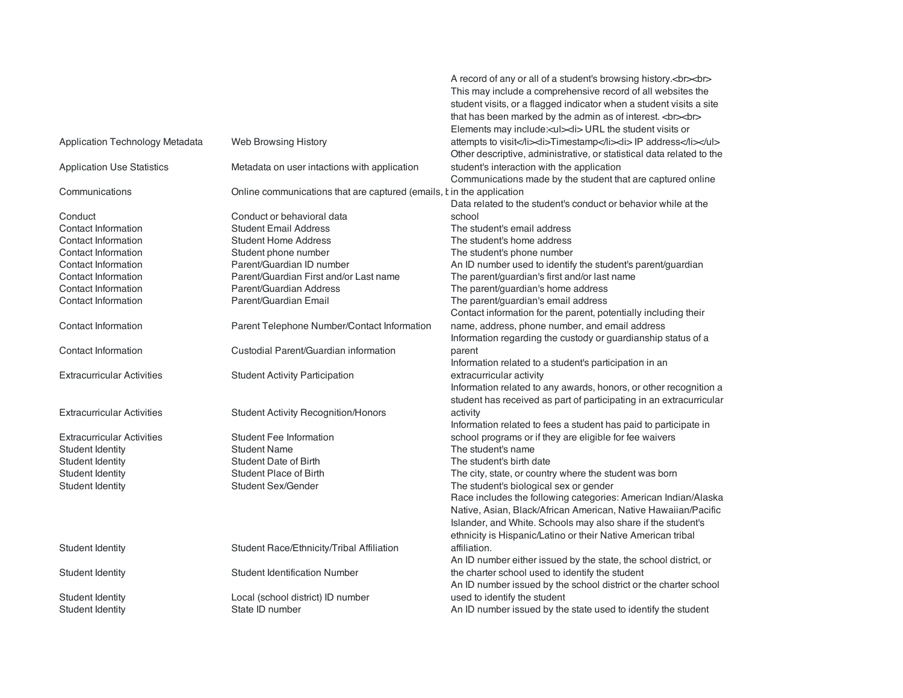|                                   |                                                                       | A record of any or all of a student's browsing history.<br><br>This may include a comprehensive record of all websites the         |
|-----------------------------------|-----------------------------------------------------------------------|------------------------------------------------------------------------------------------------------------------------------------|
|                                   |                                                                       | student visits, or a flagged indicator when a student visits a site<br>that has been marked by the admin as of interest.<br>       |
|                                   |                                                                       | Elements may include: <ul><li> URL the student visits or</li></ul>                                                                 |
| Application Technology Metadata   | Web Browsing History                                                  | attempts to visit <li>Timestamp</li> <li> IP address</li><br>Other descriptive, administrative, or statistical data related to the |
| <b>Application Use Statistics</b> | Metadata on user intactions with application                          | student's interaction with the application<br>Communications made by the student that are captured online                          |
| Communications                    | Online communications that are captured (emails, t in the application | Data related to the student's conduct or behavior while at the                                                                     |
| Conduct                           | Conduct or behavioral data                                            | school                                                                                                                             |
| Contact Information               | <b>Student Email Address</b>                                          | The student's email address                                                                                                        |
| Contact Information               | <b>Student Home Address</b>                                           | The student's home address                                                                                                         |
| Contact Information               | Student phone number                                                  | The student's phone number                                                                                                         |
| Contact Information               | Parent/Guardian ID number                                             | An ID number used to identify the student's parent/guardian                                                                        |
| Contact Information               | Parent/Guardian First and/or Last name                                | The parent/guardian's first and/or last name                                                                                       |
| Contact Information               | Parent/Guardian Address                                               | The parent/guardian's home address                                                                                                 |
| Contact Information               | Parent/Guardian Email                                                 | The parent/guardian's email address                                                                                                |
|                                   |                                                                       | Contact information for the parent, potentially including their                                                                    |
| Contact Information               | Parent Telephone Number/Contact Information                           | name, address, phone number, and email address                                                                                     |
|                                   |                                                                       | Information regarding the custody or guardianship status of a                                                                      |
| Contact Information               | Custodial Parent/Guardian information                                 | parent                                                                                                                             |
|                                   |                                                                       | Information related to a student's participation in an                                                                             |
| <b>Extracurricular Activities</b> | <b>Student Activity Participation</b>                                 | extracurricular activity                                                                                                           |
|                                   |                                                                       | Information related to any awards, honors, or other recognition a                                                                  |
|                                   |                                                                       | student has received as part of participating in an extracurricular                                                                |
| <b>Extracurricular Activities</b> | <b>Student Activity Recognition/Honors</b>                            | activity                                                                                                                           |
|                                   |                                                                       | Information related to fees a student has paid to participate in                                                                   |
| <b>Extracurricular Activities</b> | <b>Student Fee Information</b>                                        | school programs or if they are eligible for fee waivers                                                                            |
| Student Identity                  | <b>Student Name</b>                                                   | The student's name                                                                                                                 |
| <b>Student Identity</b>           | Student Date of Birth                                                 | The student's birth date                                                                                                           |
| <b>Student Identity</b>           | <b>Student Place of Birth</b>                                         | The city, state, or country where the student was born                                                                             |
| <b>Student Identity</b>           | Student Sex/Gender                                                    | The student's biological sex or gender                                                                                             |
|                                   |                                                                       | Race includes the following categories: American Indian/Alaska                                                                     |
|                                   |                                                                       | Native, Asian, Black/African American, Native Hawaiian/Pacific                                                                     |
|                                   |                                                                       | Islander, and White. Schools may also share if the student's                                                                       |
|                                   |                                                                       | ethnicity is Hispanic/Latino or their Native American tribal                                                                       |
| <b>Student Identity</b>           | Student Race/Ethnicity/Tribal Affiliation                             | affiliation.                                                                                                                       |
|                                   |                                                                       | An ID number either issued by the state, the school district, or                                                                   |
| Student Identity                  | <b>Student Identification Number</b>                                  | the charter school used to identify the student                                                                                    |
|                                   |                                                                       | An ID number issued by the school district or the charter school                                                                   |
| Student Identity                  | Local (school district) ID number                                     | used to identify the student                                                                                                       |
| Student Identity                  | State ID number                                                       | An ID number issued by the state used to identify the student                                                                      |
|                                   |                                                                       |                                                                                                                                    |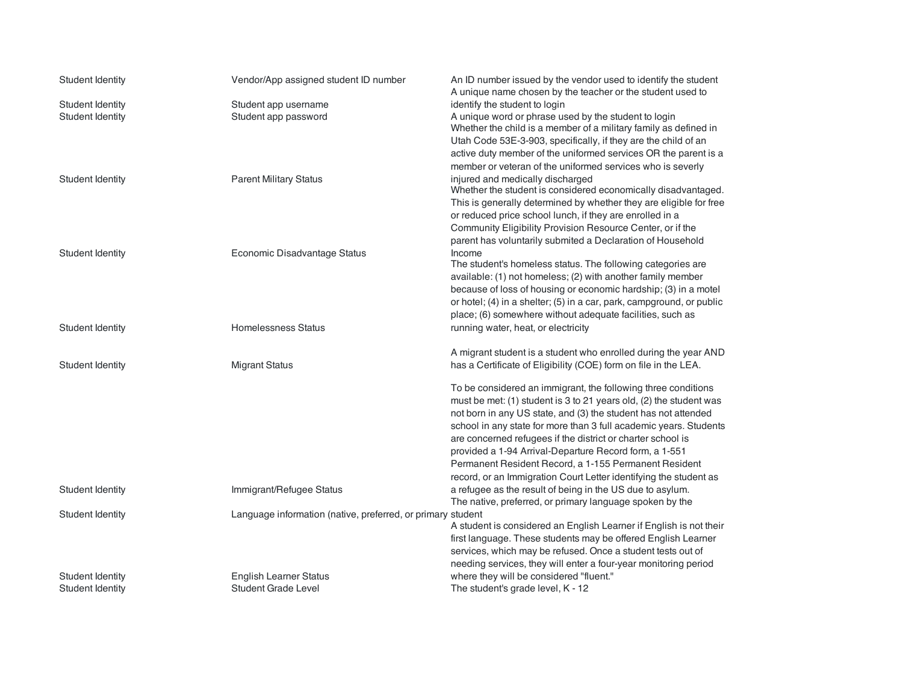| <b>Student Identity</b>              | Vendor/App assigned student ID number                       | An ID number issued by the vendor used to identify the student<br>A unique name chosen by the teacher or the student used to                                                                       |
|--------------------------------------|-------------------------------------------------------------|----------------------------------------------------------------------------------------------------------------------------------------------------------------------------------------------------|
| <b>Student Identity</b>              | Student app username                                        | identify the student to login                                                                                                                                                                      |
| <b>Student Identity</b>              | Student app password                                        | A unique word or phrase used by the student to login<br>Whether the child is a member of a military family as defined in                                                                           |
|                                      |                                                             | Utah Code 53E-3-903, specifically, if they are the child of an                                                                                                                                     |
|                                      |                                                             | active duty member of the uniformed services OR the parent is a<br>member or veteran of the uniformed services who is severly                                                                      |
| Student Identity                     | <b>Parent Military Status</b>                               | injured and medically discharged<br>Whether the student is considered economically disadvantaged.                                                                                                  |
|                                      |                                                             | This is generally determined by whether they are eligible for free<br>or reduced price school lunch, if they are enrolled in a                                                                     |
|                                      |                                                             | Community Eligibility Provision Resource Center, or if the                                                                                                                                         |
| <b>Student Identity</b>              | Economic Disadvantage Status                                | parent has voluntarily submited a Declaration of Household<br>Income                                                                                                                               |
|                                      |                                                             | The student's homeless status. The following categories are<br>available: (1) not homeless; (2) with another family member                                                                         |
|                                      |                                                             | because of loss of housing or economic hardship; (3) in a motel<br>or hotel; (4) in a shelter; (5) in a car, park, campground, or public                                                           |
| Student Identity                     | Homelessness Status                                         | place; (6) somewhere without adequate facilities, such as<br>running water, heat, or electricity                                                                                                   |
|                                      |                                                             |                                                                                                                                                                                                    |
|                                      |                                                             | A migrant student is a student who enrolled during the year AND                                                                                                                                    |
| <b>Student Identity</b>              | <b>Migrant Status</b>                                       | has a Certificate of Eligibility (COE) form on file in the LEA.                                                                                                                                    |
|                                      |                                                             | To be considered an immigrant, the following three conditions<br>must be met: (1) student is 3 to 21 years old, (2) the student was                                                                |
|                                      |                                                             | not born in any US state, and (3) the student has not attended                                                                                                                                     |
|                                      |                                                             | school in any state for more than 3 full academic years. Students<br>are concerned refugees if the district or charter school is                                                                   |
|                                      |                                                             | provided a 1-94 Arrival-Departure Record form, a 1-551<br>Permanent Resident Record, a 1-155 Permanent Resident                                                                                    |
|                                      |                                                             | record, or an Immigration Court Letter identifying the student as                                                                                                                                  |
| Student Identity                     | Immigrant/Refugee Status                                    | a refugee as the result of being in the US due to asylum.<br>The native, preferred, or primary language spoken by the                                                                              |
| Student Identity                     | Language information (native, preferred, or primary student |                                                                                                                                                                                                    |
|                                      |                                                             | A student is considered an English Learner if English is not their<br>first language. These students may be offered English Learner<br>services, which may be refused. Once a student tests out of |
|                                      |                                                             | needing services, they will enter a four-year monitoring period                                                                                                                                    |
| Student Identity<br>Student Identity | <b>English Learner Status</b><br>Student Grade Level        | where they will be considered "fluent."<br>The student's grade level, K - 12                                                                                                                       |
|                                      |                                                             |                                                                                                                                                                                                    |